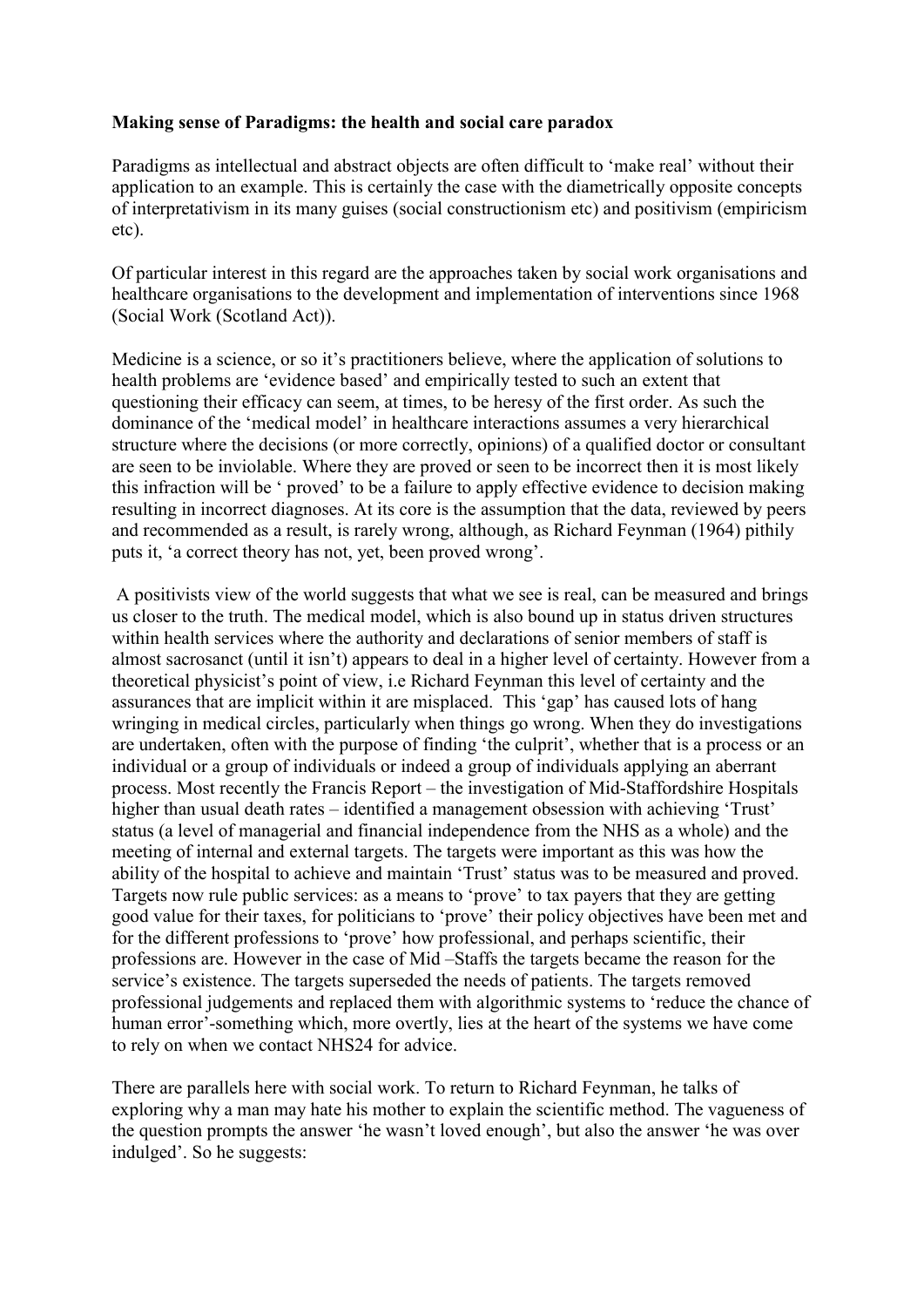## **Making sense of Paradigms: the health and social care paradox**

Paradigms as intellectual and abstract objects are often difficult to 'make real' without their application to an example. This is certainly the case with the diametrically opposite concepts of interpretativism in its many guises (social constructionism etc) and positivism (empiricism etc).

Of particular interest in this regard are the approaches taken by social work organisations and healthcare organisations to the development and implementation of interventions since 1968 (Social Work (Scotland Act)).

Medicine is a science, or so it's practitioners believe, where the application of solutions to health problems are 'evidence based' and empirically tested to such an extent that questioning their efficacy can seem, at times, to be heresy of the first order. As such the dominance of the 'medical model' in healthcare interactions assumes a very hierarchical structure where the decisions (or more correctly, opinions) of a qualified doctor or consultant are seen to be inviolable. Where they are proved or seen to be incorrect then it is most likely this infraction will be ' proved' to be a failure to apply effective evidence to decision making resulting in incorrect diagnoses. At its core is the assumption that the data, reviewed by peers and recommended as a result, is rarely wrong, although, as Richard Feynman (1964) pithily puts it, 'a correct theory has not, yet, been proved wrong'.

A positivists view of the world suggests that what we see is real, can be measured and brings us closer to the truth. The medical model, which is also bound up in status driven structures within health services where the authority and declarations of senior members of staff is almost sacrosanct (until it isn't) appears to deal in a higher level of certainty. However from a theoretical physicist's point of view, i.e Richard Feynman this level of certainty and the assurances that are implicit within it are misplaced. This 'gap' has caused lots of hang wringing in medical circles, particularly when things go wrong. When they do investigations are undertaken, often with the purpose of finding 'the culprit', whether that is a process or an individual or a group of individuals or indeed a group of individuals applying an aberrant process. Most recently the Francis Report – the investigation of Mid-Staffordshire Hospitals higher than usual death rates – identified a management obsession with achieving 'Trust' status (a level of managerial and financial independence from the NHS as a whole) and the meeting of internal and external targets. The targets were important as this was how the ability of the hospital to achieve and maintain 'Trust' status was to be measured and proved. Targets now rule public services: as a means to 'prove' to tax payers that they are getting good value for their taxes, for politicians to 'prove' their policy objectives have been met and for the different professions to 'prove' how professional, and perhaps scientific, their professions are. However in the case of Mid –Staffs the targets became the reason for the service's existence. The targets superseded the needs of patients. The targets removed professional judgements and replaced them with algorithmic systems to 'reduce the chance of human error'-something which, more overtly, lies at the heart of the systems we have come to rely on when we contact NHS24 for advice.

There are parallels here with social work. To return to Richard Feynman, he talks of exploring why a man may hate his mother to explain the scientific method. The vagueness of the question prompts the answer 'he wasn't loved enough', but also the answer 'he was over indulged'. So he suggests: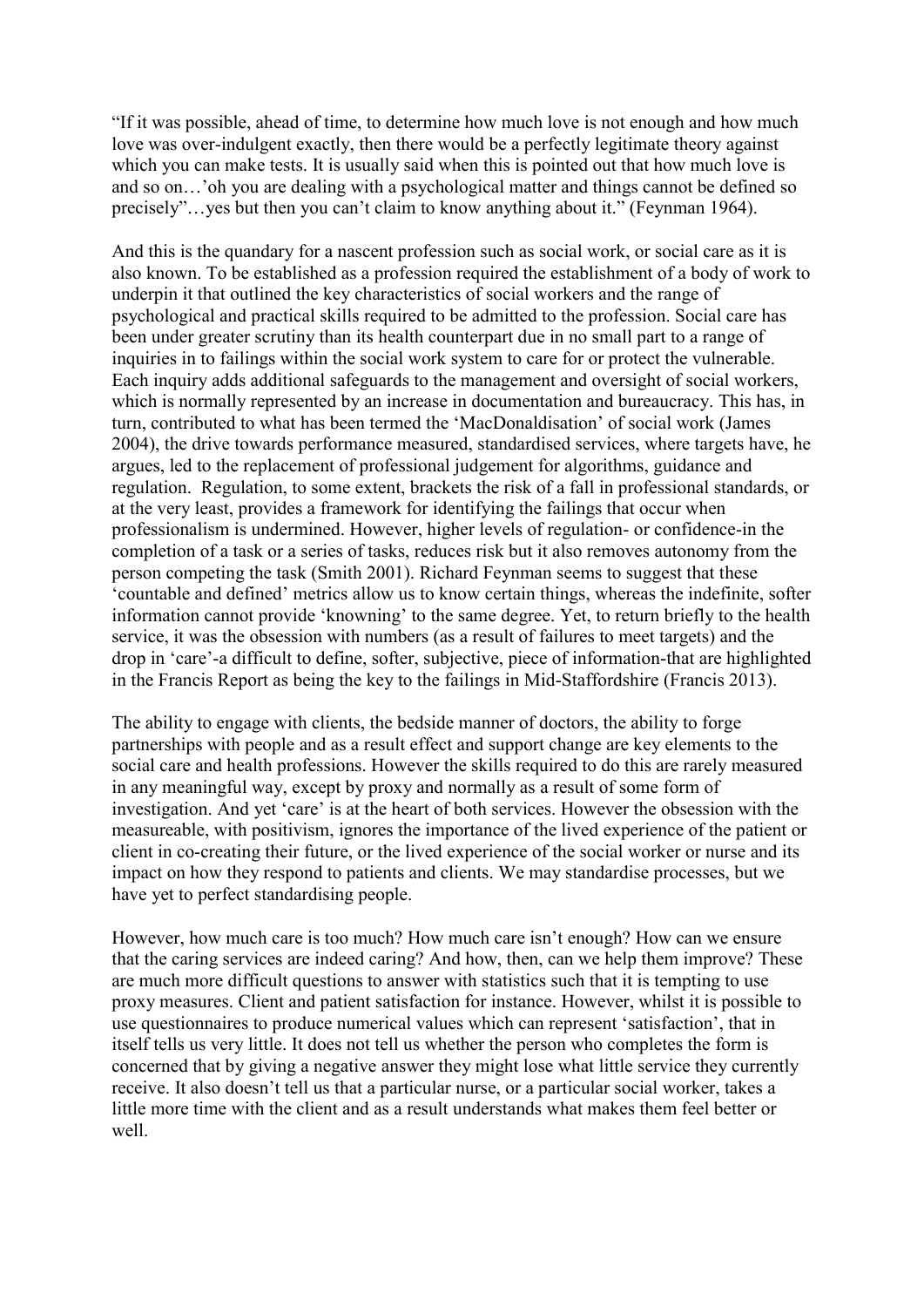"If it was possible, ahead of time, to determine how much love is not enough and how much love was over-indulgent exactly, then there would be a perfectly legitimate theory against which you can make tests. It is usually said when this is pointed out that how much love is and so on…'oh you are dealing with a psychological matter and things cannot be defined so precisely"…yes but then you can't claim to know anything about it." (Feynman 1964).

And this is the quandary for a nascent profession such as social work, or social care as it is also known. To be established as a profession required the establishment of a body of work to underpin it that outlined the key characteristics of social workers and the range of psychological and practical skills required to be admitted to the profession. Social care has been under greater scrutiny than its health counterpart due in no small part to a range of inquiries in to failings within the social work system to care for or protect the vulnerable. Each inquiry adds additional safeguards to the management and oversight of social workers, which is normally represented by an increase in documentation and bureaucracy. This has, in turn, contributed to what has been termed the 'MacDonaldisation' of social work (James 2004), the drive towards performance measured, standardised services, where targets have, he argues, led to the replacement of professional judgement for algorithms, guidance and regulation. Regulation, to some extent, brackets the risk of a fall in professional standards, or at the very least, provides a framework for identifying the failings that occur when professionalism is undermined. However, higher levels of regulation- or confidence-in the completion of a task or a series of tasks, reduces risk but it also removes autonomy from the person competing the task (Smith 2001). Richard Feynman seems to suggest that these 'countable and defined' metrics allow us to know certain things, whereas the indefinite, softer information cannot provide 'knowning' to the same degree. Yet, to return briefly to the health service, it was the obsession with numbers (as a result of failures to meet targets) and the drop in 'care'-a difficult to define, softer, subjective, piece of information-that are highlighted in the Francis Report as being the key to the failings in Mid-Staffordshire (Francis 2013).

The ability to engage with clients, the bedside manner of doctors, the ability to forge partnerships with people and as a result effect and support change are key elements to the social care and health professions. However the skills required to do this are rarely measured in any meaningful way, except by proxy and normally as a result of some form of investigation. And yet 'care' is at the heart of both services. However the obsession with the measureable, with positivism, ignores the importance of the lived experience of the patient or client in co-creating their future, or the lived experience of the social worker or nurse and its impact on how they respond to patients and clients. We may standardise processes, but we have yet to perfect standardising people.

However, how much care is too much? How much care isn't enough? How can we ensure that the caring services are indeed caring? And how, then, can we help them improve? These are much more difficult questions to answer with statistics such that it is tempting to use proxy measures. Client and patient satisfaction for instance. However, whilst it is possible to use questionnaires to produce numerical values which can represent 'satisfaction', that in itself tells us very little. It does not tell us whether the person who completes the form is concerned that by giving a negative answer they might lose what little service they currently receive. It also doesn't tell us that a particular nurse, or a particular social worker, takes a little more time with the client and as a result understands what makes them feel better or well.